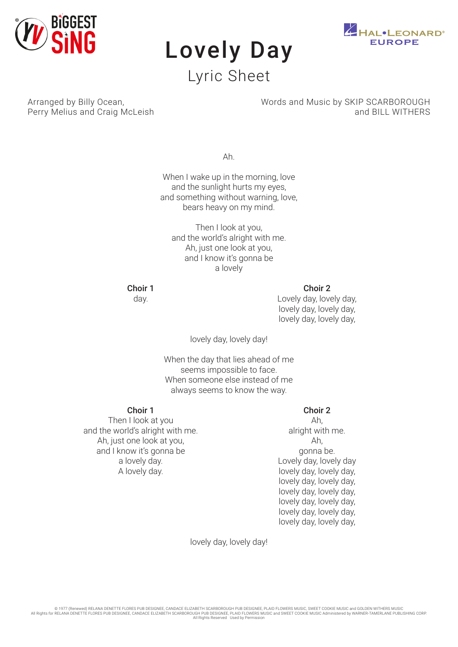

# Lovely Day Lyric Sheet



Arranged by Billy Ocean, Perry Melius and Craig McLeish Words and Music by SKIP SCARBOROUGH and BILL WITHERS

Ah.

When I wake up in the morning, love and the sunlight hurts my eyes, and something without warning, love, bears heavy on my mind.

Then I look at you, and the world's alright with me. Ah, just one look at you, and I know it's gonna be a lovely

Choir 1

day.

Choir 2

Lovely day, lovely day, lovely day, lovely day, lovely day, lovely day,

lovely day, lovely day!

When the day that lies ahead of me seems impossible to face. When someone else instead of me always seems to know the way.

## Choir 1

Then I look at you and the world's alright with me. Ah, just one look at you, and I know it's gonna be a lovely day. A lovely day.

## Choir 2

Ah, alright with me. Ah, gonna be. Lovely day, lovely day lovely day, lovely day, lovely day, lovely day, lovely day, lovely day, lovely day, lovely day, lovely day, lovely day, lovely day, lovely day,

lovely day, lovely day!

© 1977 (Renewed) RELANA DENETTE FLORES PUB DESIGNEE, CANDACE ELIZABETH SCARBOROUGH PUB DESIGNEE, PLAID FLOWERS MUSIC, SWEET COOKIE MUSIC and GOLDEN WITHERS MUSIC<br>All Rights for RELANA DENETTE FLORES PUB DESIGNEE, CANDACE E